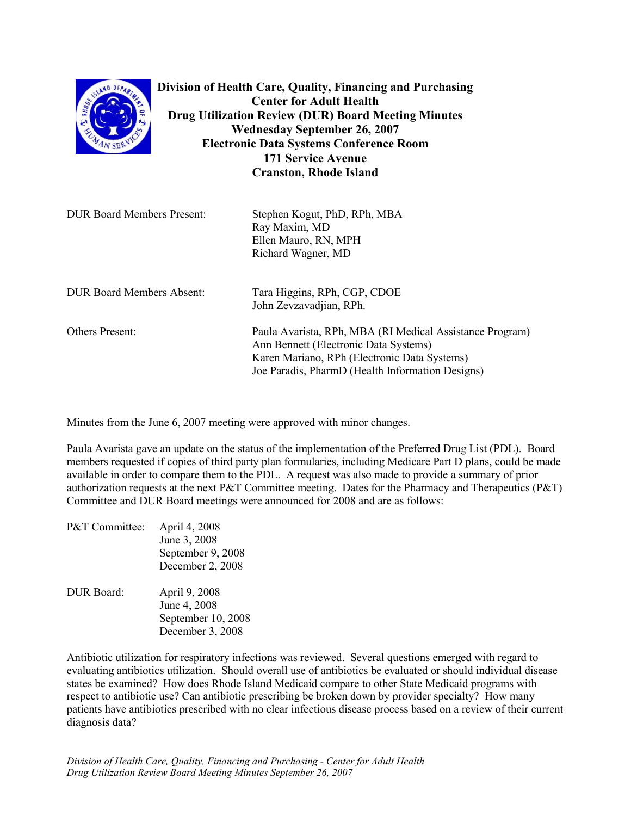| SLAND DEPAP<br>$4N$ SEB           | Division of Health Care, Quality, Financing and Purchasing<br><b>Center for Adult Health</b><br><b>Drug Utilization Review (DUR) Board Meeting Minutes</b><br><b>Wednesday September 26, 2007</b><br><b>Electronic Data Systems Conference Room</b><br><b>171 Service Avenue</b><br><b>Cranston, Rhode Island</b> |
|-----------------------------------|-------------------------------------------------------------------------------------------------------------------------------------------------------------------------------------------------------------------------------------------------------------------------------------------------------------------|
| <b>DUR Board Members Present:</b> | Stephen Kogut, PhD, RPh, MBA<br>Ray Maxim, MD<br>Ellen Mauro, RN, MPH<br>Richard Wagner, MD                                                                                                                                                                                                                       |
| <b>DUR Board Members Absent:</b>  | Tara Higgins, RPh, CGP, CDOE<br>John Zevzavadjian, RPh.                                                                                                                                                                                                                                                           |
| Others Present:                   | Paula Avarista, RPh, MBA (RI Medical Assistance Program)<br>Ann Bennett (Electronic Data Systems)<br>Karen Mariano, RPh (Electronic Data Systems)<br>Joe Paradis, PharmD (Health Information Designs)                                                                                                             |

Minutes from the June 6, 2007 meeting were approved with minor changes.

Paula Avarista gave an update on the status of the implementation of the Preferred Drug List (PDL). Board members requested if copies of third party plan formularies, including Medicare Part D plans, could be made available in order to compare them to the PDL. A request was also made to provide a summary of prior authorization requests at the next P&T Committee meeting. Dates for the Pharmacy and Therapeutics (P&T) Committee and DUR Board meetings were announced for 2008 and are as follows:

| P&T Committee: | April 4, 2008      |
|----------------|--------------------|
|                | June 3, 2008       |
|                | September 9, 2008  |
|                | December 2, 2008   |
| DUR Board:     | April 9, 2008      |
|                | June 4, 2008       |
|                | September 10, 2008 |
|                | December 3, 2008   |

Antibiotic utilization for respiratory infections was reviewed. Several questions emerged with regard to evaluating antibiotics utilization. Should overall use of antibiotics be evaluated or should individual disease states be examined? How does Rhode Island Medicaid compare to other State Medicaid programs with respect to antibiotic use? Can antibiotic prescribing be broken down by provider specialty? How many patients have antibiotics prescribed with no clear infectious disease process based on a review of their current diagnosis data?